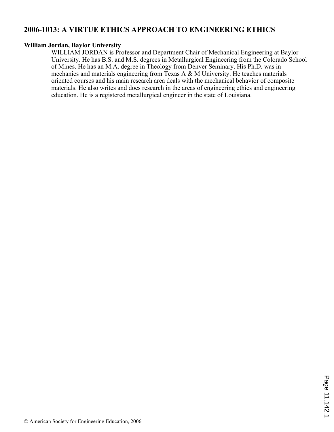# **2006-1013: A VIRTUE ETHICS APPROACH TO ENGINEERING ETHICS**

## **William Jordan, Baylor University**

WILLIAM JORDAN is Professor and Department Chair of Mechanical Engineering at Baylor University. He has B.S. and M.S. degrees in Metallurgical Engineering from the Colorado School of Mines. He has an M.A. degree in Theology from Denver Seminary. His Ph.D. was in mechanics and materials engineering from Texas A & M University. He teaches materials oriented courses and his main research area deals with the mechanical behavior of composite materials. He also writes and does research in the areas of engineering ethics and engineering education. He is a registered metallurgical engineer in the state of Louisiana.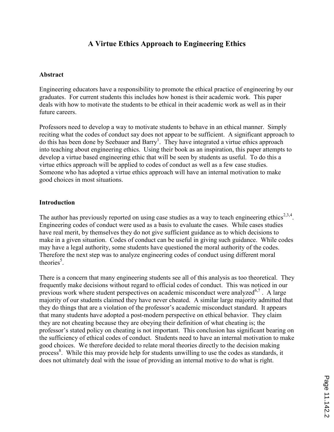# A Virtue Ethics Approach to Engineering Ethics

### Abstract

Engineering educators have a responsibility to promote the ethical practice of engineering by our graduates. For current students this includes how honest is their academic work. This paper deals with how to motivate the students to be ethical in their academic work as well as in their future careers.

Professors need to develop a way to motivate students to behave in an ethical manner. Simply reciting what the codes of conduct say does not appear to be sufficient. A significant approach to do this has been done by Seebauer and Barry<sup>1</sup>. They have integrated a virtue ethics approach into teaching about engineering ethics. Using their book as an inspiration, this paper attempts to develop a virtue based engineering ethic that will be seen by students as useful. To do this a virtue ethics approach will be applied to codes of conduct as well as a few case studies. Someone who has adopted a virtue ethics approach will have an internal motivation to make good choices in most situations.

### Introduction

The author has previously reported on using case studies as a way to teach engineering ethics<sup>2,3,4</sup>. Engineering codes of conduct were used as a basis to evaluate the cases. While cases studies have real merit, by themselves they do not give sufficient guidance as to which decisions to make in a given situation. Codes of conduct can be useful in giving such guidance. While codes may have a legal authority, some students have questioned the moral authority of the codes. Therefore the next step was to analyze engineering codes of conduct using different moral theories<sup>5</sup>.

There is a concern that many engineering students see all of this analysis as too theoretical. They frequently make decisions without regard to official codes of conduct. This was noticed in our previous work where student perspectives on academic misconduct were analyzed<sup>6,7</sup>. A large majority of our students claimed they have never cheated. A similar large majority admitted that they do things that are a violation of the professor's academic misconduct standard. It appears that many students have adopted a post-modern perspective on ethical behavior. They claim they are not cheating because they are obeying their definition of what cheating is; the professor's stated policy on cheating is not important. This conclusion has significant bearing on the sufficiency of ethical codes of conduct. Students need to have an internal motivation to make good choices. We therefore decided to relate moral theories directly to the decision making process<sup>8</sup>. While this may provide help for students unwilling to use the codes as standards, it does not ultimately deal with the issue of providing an internal motive to do what is right.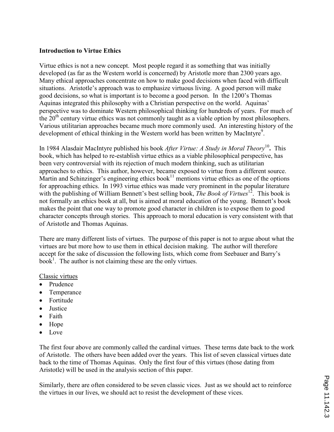# Introduction to Virtue Ethics

Virtue ethics is not a new concept. Most people regard it as something that was initially developed (as far as the Western world is concerned) by Aristotle more than 2300 years ago. Many ethical approaches concentrate on how to make good decisions when faced with difficult situations. Aristotle's approach was to emphasize virtuous living. A good person will make good decisions, so what is important is to become a good person. In the 1200's Thomas Aquinas integrated this philosophy with a Christian perspective on the world. Aquinas' perspective was to dominate Western philosophical thinking for hundreds of years. For much of the  $20<sup>th</sup>$  century virtue ethics was not commonly taught as a viable option by most philosophers. Various utilitarian approaches became much more commonly used. An interesting history of the development of ethical thinking in the Western world has been written by MacIntyre<sup>9</sup>.

In 1984 Alasdair MacIntyre published his book *After Virtue: A Study in Moral Theory*<sup>10</sup>. This book, which has helped to re-establish virtue ethics as a viable philosophical perspective, has been very controversial with its rejection of much modern thinking, such as utilitarian approaches to ethics. This author, however, became exposed to virtue from a different source. Martin and Schinzinger's engineering ethics book $11$  mentions virtue ethics as one of the options for approaching ethics. In 1993 virtue ethics was made very prominent in the popular literature with the publishing of William Bennett's best selling book, The Book of Virtues<sup>12</sup>. This book is not formally an ethics book at all, but is aimed at moral education of the young. Bennett's book makes the point that one way to promote good character in children is to expose them to good character concepts through stories. This approach to moral education is very consistent with that of Aristotle and Thomas Aquinas.

There are many different lists of virtues. The purpose of this paper is not to argue about what the virtues are but more how to use them in ethical decision making. The author will therefore accept for the sake of discussion the following lists, which come from Seebauer and Barry's book<sup>1</sup>. The author is not claiming these are the only virtues.

### Classic virtues

- Prudence
- Temperance
- Fortitude
- Justice
- Faith
- Hope
- Love

The first four above are commonly called the cardinal virtues. These terms date back to the work of Aristotle. The others have been added over the years. This list of seven classical virtues date back to the time of Thomas Aquinas. Only the first four of this virtues (those dating from Aristotle) will be used in the analysis section of this paper.

Similarly, there are often considered to be seven classic vices. Just as we should act to reinforce the virtues in our lives, we should act to resist the development of these vices.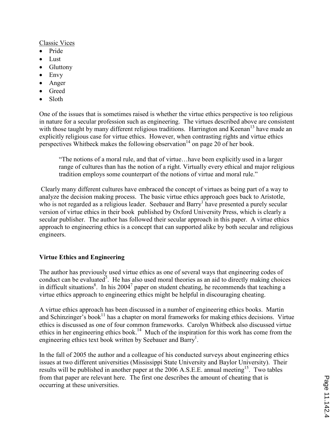### Classic Vices

- Pride
- Lust
- Gluttony
- Envy
- Anger
- Greed
- Sloth

One of the issues that is sometimes raised is whether the virtue ethics perspective is too religious in nature for a secular profession such as engineering. The virtues described above are consistent with those taught by many different religious traditions. Harrington and Keenan<sup>13</sup> have made an explicitly religious case for virtue ethics. However, when contrasting rights and virtue ethics perspectives Whitbeck makes the following observation<sup>14</sup> on page 20 of her book.

"The notions of a moral rule, and that of virtue…have been explicitly used in a larger range of cultures than has the notion of a right. Virtually every ethical and major religious tradition employs some counterpart of the notions of virtue and moral rule."

 Clearly many different cultures have embraced the concept of virtues as being part of a way to analyze the decision making process. The basic virtue ethics approach goes back to Aristotle, who is not regarded as a religious leader. Seebauer and Barry<sup>1</sup> have presented a purely secular version of virtue ethics in their book published by Oxford University Press, which is clearly a secular publisher. The author has followed their secular approach in this paper. A virtue ethics approach to engineering ethics is a concept that can supported alike by both secular and religious engineers.

# Virtue Ethics and Engineering

The author has previously used virtue ethics as one of several ways that engineering codes of conduct can be evaluated<sup>5</sup>. He has also used moral theories as an aid to directly making choices in difficult situations<sup>8</sup>. In his 2004<sup>7</sup> paper on student cheating, he recommends that teaching a virtue ethics approach to engineering ethics might be helpful in discouraging cheating.

A virtue ethics approach has been discussed in a number of engineering ethics books. Martin and Schinzinger's book<sup>11</sup> has a chapter on moral frameworks for making ethics decisions. Virtue ethics is discussed as one of four common frameworks. Carolyn Whitbeck also discussed virtue ethics in her engineering ethics book.<sup>14</sup> Much of the inspiration for this work has come from the engineering ethics text book written by Seebauer and Barry<sup>1</sup>.

In the fall of 2005 the author and a colleague of his conducted surveys about engineering ethics issues at two different universities (Mississippi State University and Baylor University). Their results will be published in another paper at the  $2006$  A.S.E.E. annual meeting<sup>15</sup>. Two tables from that paper are relevant here. The first one describes the amount of cheating that is occurring at these universities.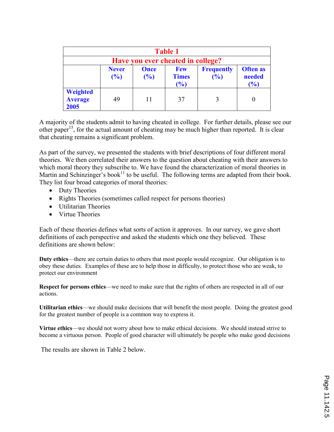| <b>Table 1</b>                     |                        |                    |                                   |                          |                                  |  |  |
|------------------------------------|------------------------|--------------------|-----------------------------------|--------------------------|----------------------------------|--|--|
| Have you ever cheated in college?  |                        |                    |                                   |                          |                                  |  |  |
|                                    | <b>Never</b><br>$($ %) | <b>Once</b><br>(%) | <b>Few</b><br><b>Times</b><br>(%) | <b>Frequently</b><br>(%) | <b>Often as</b><br>needed<br>(%) |  |  |
| Weighted<br><b>Average</b><br>2005 | 49                     | 11                 | 37                                |                          |                                  |  |  |

A majority of the students admit to having cheated in college. For further details, please see our other paper<sup>15</sup>, for the actual amount of cheating may be much higher than reported. It is clear that cheating remains a significant problem.

As part of the survey, we presented the students with brief descriptions of four different moral theories. We then correlated their answers to the question about cheating with their answers to which moral theory they subscribe to. We have found the characterization of moral theories in Martin and Schinzinger's book<sup>11</sup> to be useful. The following terms are adapted from their book. They list four broad categories of moral theories:

- Duty Theories
- Rights Theories (sometimes called respect for persons theories)
- Utilitarian Theories
- Virtue Theories

Each of these theories defines what sorts of action it approves. In our survey, we gave short definitions of each perspective and asked the students which one they believed. These definitions are shown below:

Duty ethics—there are certain duties to others that most people would recognize. Our obligation is to obey these duties. Examples of these are to help those in difficulty, to protect those who are weak, to protect our environment

Respect for persons ethics—we need to make sure that the rights of others are respected in all of our actions.

Utilitarian ethics—we should make decisions that will benefit the most people. Doing the greatest good for the greatest number of people is a common way to express it.

Virtue ethics—we should not worry about how to make ethical decisions. We should instead strive to become a virtuous person. People of good character will ultimately be people who make good decisions

The results are shown in Table 2 below.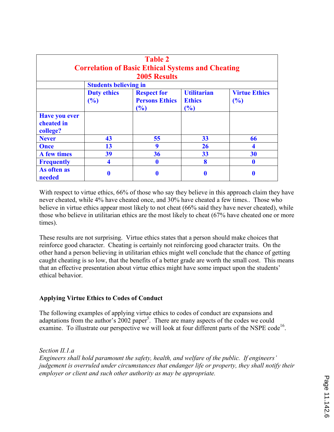| <b>Table 2</b><br><b>Correlation of Basic Ethical Systems and Cheating</b><br><b>2005 Results</b> |                              |                                                    |                                            |                             |  |  |  |
|---------------------------------------------------------------------------------------------------|------------------------------|----------------------------------------------------|--------------------------------------------|-----------------------------|--|--|--|
|                                                                                                   | <b>Students believing in</b> |                                                    |                                            |                             |  |  |  |
|                                                                                                   | <b>Duty ethics</b><br>(%)    | <b>Respect for</b><br><b>Persons Ethics</b><br>(%) | <b>Utilitarian</b><br><b>Ethics</b><br>(%) | <b>Virtue Ethics</b><br>(%) |  |  |  |
| <b>Have you ever</b><br>cheated in<br>college?                                                    |                              |                                                    |                                            |                             |  |  |  |
| <b>Never</b>                                                                                      | 43                           | 55                                                 | 33                                         | 66                          |  |  |  |
| <b>Once</b>                                                                                       | 13                           | 9                                                  | 26                                         |                             |  |  |  |
| A few times                                                                                       | 39                           | 36                                                 | 33                                         | 30                          |  |  |  |
| <b>Frequently</b>                                                                                 | 4                            |                                                    | 8                                          |                             |  |  |  |
| As often as<br>needed                                                                             | 0                            |                                                    | 0                                          | 0                           |  |  |  |

With respect to virtue ethics, 66% of those who say they believe in this approach claim they have never cheated, while 4% have cheated once, and 30% have cheated a few times.. Those who believe in virtue ethics appear most likely to not cheat (66% said they have never cheated), while those who believe in utilitarian ethics are the most likely to cheat (67% have cheated one or more times).

These results are not surprising. Virtue ethics states that a person should make choices that reinforce good character. Cheating is certainly not reinforcing good character traits. On the other hand a person believing in utilitarian ethics might well conclude that the chance of getting caught cheating is so low, that the benefits of a better grade are worth the small cost. This means that an effective presentation about virtue ethics might have some impact upon the students' ethical behavior.

# Applying Virtue Ethics to Codes of Conduct

The following examples of applying virtue ethics to codes of conduct are expansions and adaptations from the author's  $2002$  paper<sup>5</sup>. There are many aspects of the codes we could examine. To illustrate our perspective we will look at four different parts of the NSPE code<sup>16</sup>.

Section II.1.a

Engineers shall hold paramount the safety, health, and welfare of the public. If engineers' judgement is overruled under circumstances that endanger life or property, they shall notify their employer or client and such other authority as may be appropriate.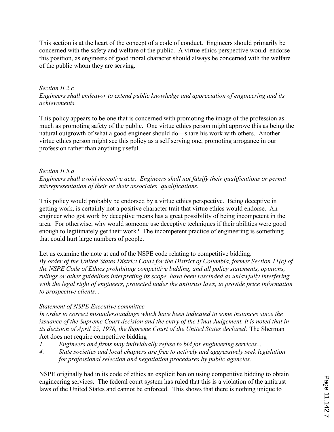This section is at the heart of the concept of a code of conduct. Engineers should primarily be concerned with the safety and welfare of the public. A virtue ethics perspective would endorse this position, as engineers of good moral character should always be concerned with the welfare of the public whom they are serving.

## Section II.2.c Engineers shall endeavor to extend public knowledge and appreciation of engineering and its achievements.

This policy appears to be one that is concerned with promoting the image of the profession as much as promoting safety of the public. One virtue ethics person might approve this as being the natural outgrowth of what a good engineer should do—share his work with others. Another virtue ethics person might see this policy as a self serving one, promoting arrogance in our profession rather than anything useful.

# Section II.5.a

Engineers shall avoid deceptive acts. Engineers shall not falsify their qualifications or permit misrepresentation of their or their associates' qualifications.

This policy would probably be endorsed by a virtue ethics perspective. Being deceptive in getting work, is certainly not a positive character trait that virtue ethics would endorse. An engineer who got work by deceptive means has a great possibility of being incompetent in the area. For otherwise, why would someone use deceptive techniques if their abilities were good enough to legitimately get their work? The incompetent practice of engineering is something that could hurt large numbers of people.

Let us examine the note at end of the NSPE code relating to competitive bidding. By order of the United States District Court for the District of Columbia, former Section 11(c) of the NSPE Code of Ethics prohibiting competitive bidding, and all policy statements, opinions, rulings or other guidelines interpreting its scope, have been rescinded as unlawfully interfering with the legal right of engineers, protected under the antitrust laws, to provide price information to prospective clients...

# Statement of NSPE Executive committee

In order to correct misunderstandings which have been indicated in some instances since the issuance of the Supreme Court decision and the entry of the Final Judgement, it is noted that in its decision of April 25, 1978, the Supreme Court of the United States declared: The Sherman Act does not require competitive bidding

- 1. Engineers and firms may individually refuse to bid for engineering services...
- 4. State societies and local chapters are free to actively and aggressively seek legislation for professional selection and negotiation procedures by public agencies.

NSPE originally had in its code of ethics an explicit ban on using competitive bidding to obtain engineering services. The federal court system has ruled that this is a violation of the antitrust laws of the United States and cannot be enforced. This shows that there is nothing unique to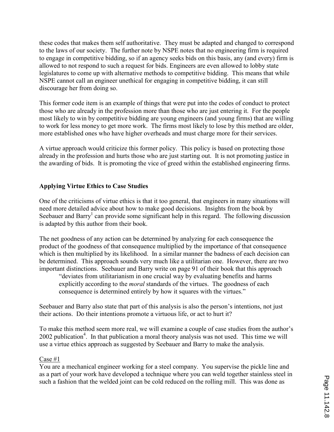these codes that makes them self authoritative. They must be adapted and changed to correspond to the laws of our society. The further note by NSPE notes that no engineering firm is required to engage in competitive bidding, so if an agency seeks bids on this basis, any (and every) firm is allowed to not respond to such a request for bids. Engineers are even allowed to lobby state legislatures to come up with alternative methods to competitive bidding. This means that while NSPE cannot call an engineer unethical for engaging in competitive bidding, it can still discourage her from doing so.

This former code item is an example of things that were put into the codes of conduct to protect those who are already in the profession more than those who are just entering it. For the people most likely to win by competitive bidding are young engineers (and young firms) that are willing to work for less money to get more work. The firms most likely to lose by this method are older, more established ones who have higher overheads and must charge more for their services.

A virtue approach would criticize this former policy. This policy is based on protecting those already in the profession and hurts those who are just starting out. It is not promoting justice in the awarding of bids. It is promoting the vice of greed within the established engineering firms.

# Applying Virtue Ethics to Case Studies

One of the criticisms of virtue ethics is that it too general, that engineers in many situations will need more detailed advice about how to make good decisions. Insights from the book by Seebauer and Barry<sup>1</sup> can provide some significant help in this regard. The following discussion is adapted by this author from their book.

The net goodness of any action can be determined by analyzing for each consequence the product of the goodness of that consequence multiplied by the importance of that consequence which is then multiplied by its likelihood. In a similar manner the badness of each decision can be determined. This approach sounds very much like a utilitarian one. However, there are two important distinctions. Seebauer and Barry write on page 91 of their book that this approach

"deviates from utilitarianism in one crucial way by evaluating benefits and harms explicitly according to the *moral* standards of the virtues. The goodness of each consequence is determined entirely by how it squares with the virtues."

Seebauer and Barry also state that part of this analysis is also the person's intentions, not just their actions. Do their intentions promote a virtuous life, or act to hurt it?

To make this method seem more real, we will examine a couple of case studies from the author's 2002 publication<sup>4</sup>. In that publication a moral theory analysis was not used. This time we will use a virtue ethics approach as suggested by Seebauer and Barry to make the analysis.

### Case #1

You are a mechanical engineer working for a steel company. You supervise the pickle line and as a part of your work have developed a technique where you can weld together stainless steel in such a fashion that the welded joint can be cold reduced on the rolling mill. This was done as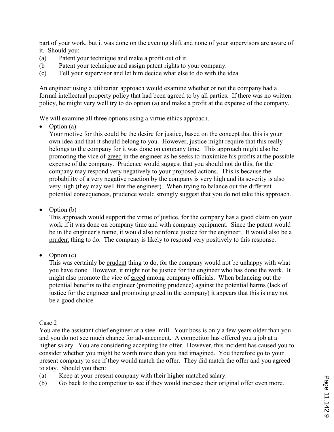part of your work, but it was done on the evening shift and none of your supervisors are aware of it. Should you:

- (a) Patent your technique and make a profit out of it.
- (b Patent your technique and assign patent rights to your company.
- (c) Tell your supervisor and let him decide what else to do with the idea.

An engineer using a utilitarian approach would examine whether or not the company had a formal intellectual property policy that had been agreed to by all parties. If there was no written policy, he might very well try to do option (a) and make a profit at the expense of the company.

We will examine all three options using a virtue ethics approach.

• Option (a)

Your motive for this could be the desire for justice, based on the concept that this is your own idea and that it should belong to you. However, justice might require that this really belongs to the company for it was done on company time. This approach might also be promoting the vice of greed in the engineer as he seeks to maximize his profits at the possible expense of the company. Prudence would suggest that you should not do this, for the company may respond very negatively to your proposed actions. This is because the probability of a very negative reaction by the company is very high and its severity is also very high (they may well fire the engineer). When trying to balance out the different potential consequences, prudence would strongly suggest that you do not take this approach.

• Option (b)

This approach would support the virtue of justice, for the company has a good claim on your work if it was done on company time and with company equipment. Since the patent would be in the engineer's name, it would also reinforce justice for the engineer. It would also be a prudent thing to do. The company is likely to respond very positively to this response.

• Option (c)

This was certainly be prudent thing to do, for the company would not be unhappy with what you have done. However, it might not be justice for the engineer who has done the work. It might also promote the vice of greed among company officials. When balancing out the potential benefits to the engineer (promoting prudence) against the potential harms (lack of justice for the engineer and promoting greed in the company) it appears that this is may not be a good choice.

# Case 2

You are the assistant chief engineer at a steel mill. Your boss is only a few years older than you and you do not see much chance for advancement. A competitor has offered you a job at a higher salary. You are considering accepting the offer. However, this incident has caused you to consider whether you might be worth more than you had imagined. You therefore go to your present company to see if they would match the offer. They did match the offer and you agreed to stay. Should you then:

- (a) Keep at your present company with their higher matched salary.
- (b) Go back to the competitor to see if they would increase their original offer even more.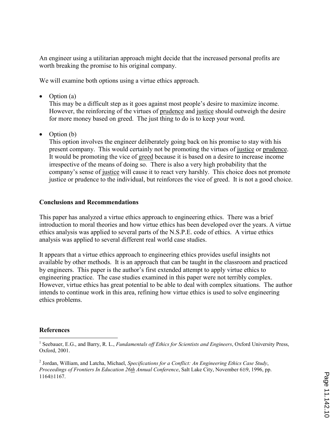An engineer using a utilitarian approach might decide that the increased personal profits are worth breaking the promise to his original company.

We will examine both options using a virtue ethics approach.

• Option (a)

This may be a difficult step as it goes against most people's desire to maximize income. However, the reinforcing of the virtues of prudence and justice should outweigh the desire for more money based on greed. The just thing to do is to keep your word.

• Option (b)

This option involves the engineer deliberately going back on his promise to stay with his present company. This would certainly not be promoting the virtues of justice or prudence. It would be promoting the vice of greed because it is based on a desire to increase income irrespective of the means of doing so. There is also a very high probability that the company's sense of justice will cause it to react very harshly. This choice does not promote justice or prudence to the individual, but reinforces the vice of greed. It is not a good choice.

# Conclusions and Recommendations

This paper has analyzed a virtue ethics approach to engineering ethics. There was a brief introduction to moral theories and how virtue ethics has been developed over the years. A virtue ethics analysis was applied to several parts of the N.S.P.E. code of ethics. A virtue ethics analysis was applied to several different real world case studies.

It appears that a virtue ethics approach to engineering ethics provides useful insights not available by other methods. It is an approach that can be taught in the classroom and practiced by engineers. This paper is the author's first extended attempt to apply virtue ethics to engineering practice. The case studies examined in this paper were not terribly complex. However, virtue ethics has great potential to be able to deal with complex situations. The author intends to continue work in this area, refining how virtue ethics is used to solve engineering ethics problems.

# References

 $\overline{a}$ <sup>1</sup> Seebauer, E.G., and Barry, R. L., Fundamentals off Ethics for Scientists and Engineers, Oxford University Press, Oxford, 2001.

 $2$  Jordan, William, and Latcha, Michael, Specifications for a Conflict: An Engineering Ethics Case Study, Proceedings of Frontiers In Education 26th Annual Conference, Salt Lake City, November 6B9, 1996, pp. 1164B1167.